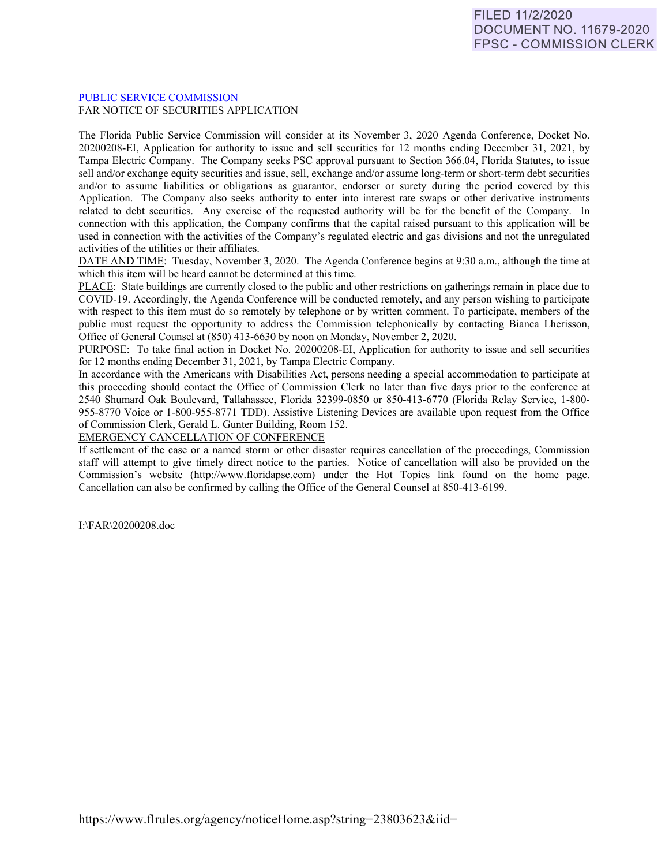## [PUBLIC SERVICE COMMISSION](https://www.flrules.org/gateway/department.asp?id=25) FAR NOTICE OF SECURITIES APPLICATION

The Florida Public Service Commission will consider at its November 3, 2020 Agenda Conference, Docket No. 20200208-EI, Application for authority to issue and sell securities for 12 months ending December 31, 2021, by Tampa Electric Company. The Company seeks PSC approval pursuant to Section 366.04, Florida Statutes, to issue sell and/or exchange equity securities and issue, sell, exchange and/or assume long-term or short-term debt securities and/or to assume liabilities or obligations as guarantor, endorser or surety during the period covered by this Application. The Company also seeks authority to enter into interest rate swaps or other derivative instruments related to debt securities. Any exercise of the requested authority will be for the benefit of the Company. In connection with this application, the Company confirms that the capital raised pursuant to this application will be used in connection with the activities of the Company's regulated electric and gas divisions and not the unregulated activities of the utilities or their affiliates.

DATE AND TIME: Tuesday, November 3, 2020. The Agenda Conference begins at 9:30 a.m., although the time at which this item will be heard cannot be determined at this time.

PLACE: State buildings are currently closed to the public and other restrictions on gatherings remain in place due to COVID-19. Accordingly, the Agenda Conference will be conducted remotely, and any person wishing to participate with respect to this item must do so remotely by telephone or by written comment. To participate, members of the public must request the opportunity to address the Commission telephonically by contacting Bianca Lherisson, Office of General Counsel at (850) 413-6630 by noon on Monday, November 2, 2020.

PURPOSE: To take final action in Docket No. 20200208-EI, Application for authority to issue and sell securities for 12 months ending December 31, 2021, by Tampa Electric Company.

In accordance with the Americans with Disabilities Act, persons needing a special accommodation to participate at this proceeding should contact the Office of Commission Clerk no later than five days prior to the conference at 2540 Shumard Oak Boulevard, Tallahassee, Florida 32399-0850 or 850-413-6770 (Florida Relay Service, 1-800- 955-8770 Voice or 1-800-955-8771 TDD). Assistive Listening Devices are available upon request from the Office of Commission Clerk, Gerald L. Gunter Building, Room 152.

EMERGENCY CANCELLATION OF CONFERENCE

If settlement of the case or a named storm or other disaster requires cancellation of the proceedings, Commission staff will attempt to give timely direct notice to the parties. Notice of cancellation will also be provided on the Commission's website (http://www.floridapsc.com) under the Hot Topics link found on the home page. Cancellation can also be confirmed by calling the Office of the General Counsel at 850-413-6199.

I:\FAR\20200208.doc